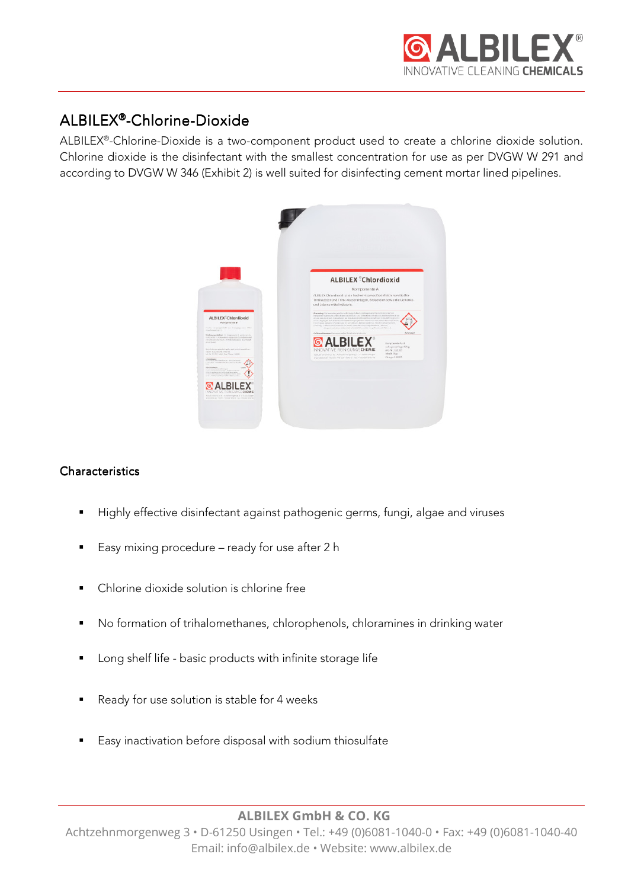

# ALBILEX<sup>®</sup>-Chlorine-Dioxide

ALBILEX® -Chlorine-Dioxide is a two-component product used to create a chlorine dioxide solution. Chlorine dioxide is the disinfectant with the smallest concentration for use as per DVGW W 291 and according to DVGW W 346 (Exhibit 2) is well suited for disinfecting cement mortar lined pipelines.



# **Characteristics**

- Highly effective disinfectant against pathogenic germs, fungi, algae and viruses
- Easy mixing procedure ready for use after 2 h
- Chlorine dioxide solution is chlorine free
- No formation of trihalomethanes, chlorophenols, chloramines in drinking water
- **Long shelf life basic products with infinite storage life**
- Ready for use solution is stable for 4 weeks
- Easy inactivation before disposal with sodium thiosulfate

**ALBILEX GmbH & CO. KG** 

Achtzehnmorgenweg 3 • D-61250 Usingen • Tel.: +49 (0)6081-1040-0 • Fax: +49 (0)6081-1040-40 Email: info@albilex.de • Website: www.albilex.de